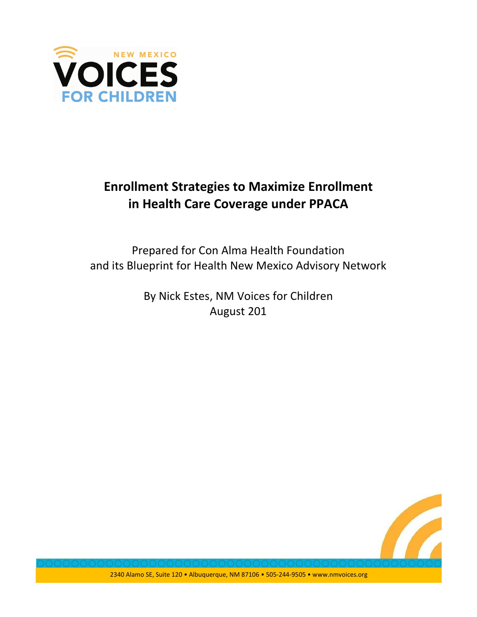

# **Enrollment Strategies to Maximize Enrollment** in Health Care Coverage under PPACA

Prepared for Con Alma Health Foundation and its Blueprint for Health New Mexico Advisory Network

> By Nick Estes, NM Voices for Children August 201

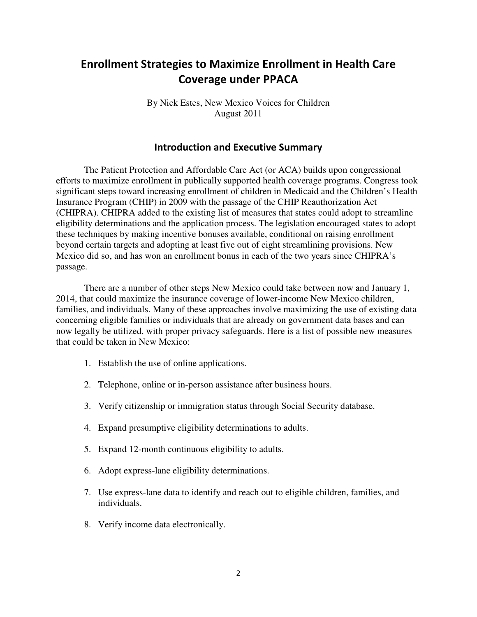# **Enrollment Strategies to Maximize Enrollment in Health Care Coverage under PPACA**

By Nick Estes, New Mexico Voices for Children August 2011

# **Introduction and Executive Summary**

 The Patient Protection and Affordable Care Act (or ACA) builds upon congressional efforts to maximize enrollment in publically supported health coverage programs. Congress took significant steps toward increasing enrollment of children in Medicaid and the Children's Health Insurance Program (CHIP) in 2009 with the passage of the CHIP Reauthorization Act (CHIPRA). CHIPRA added to the existing list of measures that states could adopt to streamline eligibility determinations and the application process. The legislation encouraged states to adopt these techniques by making incentive bonuses available, conditional on raising enrollment beyond certain targets and adopting at least five out of eight streamlining provisions. New Mexico did so, and has won an enrollment bonus in each of the two years since CHIPRA's passage.

There are a number of other steps New Mexico could take between now and January 1, 2014, that could maximize the insurance coverage of lower-income New Mexico children, families, and individuals. Many of these approaches involve maximizing the use of existing data concerning eligible families or individuals that are already on government data bases and can now legally be utilized, with proper privacy safeguards. Here is a list of possible new measures that could be taken in New Mexico:

- 1. Establish the use of online applications.
- 2. Telephone, online or in-person assistance after business hours.
- 3. Verify citizenship or immigration status through Social Security database.
- 4. Expand presumptive eligibility determinations to adults.
- 5. Expand 12-month continuous eligibility to adults.
- 6. Adopt express-lane eligibility determinations.
- 7. Use express-lane data to identify and reach out to eligible children, families, and individuals.
- 8. Verify income data electronically.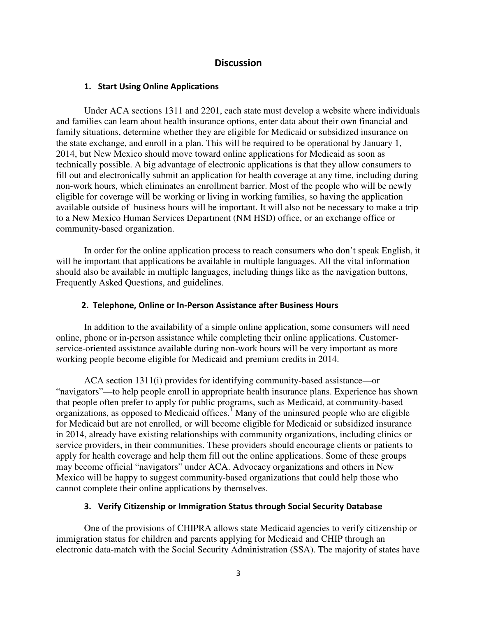## **Discussion**

#### 1. Start Using Online Applications

Under ACA sections 1311 and 2201, each state must develop a website where individuals and families can learn about health insurance options, enter data about their own financial and family situations, determine whether they are eligible for Medicaid or subsidized insurance on the state exchange, and enroll in a plan. This will be required to be operational by January 1, 2014, but New Mexico should move toward online applications for Medicaid as soon as technically possible. A big advantage of electronic applications is that they allow consumers to fill out and electronically submit an application for health coverage at any time, including during non-work hours, which eliminates an enrollment barrier. Most of the people who will be newly eligible for coverage will be working or living in working families, so having the application available outside of business hours will be important. It will also not be necessary to make a trip to a New Mexico Human Services Department (NM HSD) office, or an exchange office or community-based organization.

In order for the online application process to reach consumers who don't speak English, it will be important that applications be available in multiple languages. All the vital information should also be available in multiple languages, including things like as the navigation buttons, Frequently Asked Questions, and guidelines.

#### 2. Telephone, Online or In-Person Assistance after Business Hours

In addition to the availability of a simple online application, some consumers will need online, phone or in-person assistance while completing their online applications. Customerservice-oriented assistance available during non-work hours will be very important as more working people become eligible for Medicaid and premium credits in 2014.

ACA section 1311(i) provides for identifying community-based assistance—or "navigators"—to help people enroll in appropriate health insurance plans. Experience has shown that people often prefer to apply for public programs, such as Medicaid, at community-based organizations, as opposed to Medicaid offices.<sup>I</sup> Many of the uninsured people who are eligible for Medicaid but are not enrolled, or will become eligible for Medicaid or subsidized insurance in 2014, already have existing relationships with community organizations, including clinics or service providers, in their communities. These providers should encourage clients or patients to apply for health coverage and help them fill out the online applications. Some of these groups may become official "navigators" under ACA. Advocacy organizations and others in New Mexico will be happy to suggest community-based organizations that could help those who cannot complete their online applications by themselves.

#### 3. Verify Citizenship or Immigration Status through Social Security Database

One of the provisions of CHIPRA allows state Medicaid agencies to verify citizenship or immigration status for children and parents applying for Medicaid and CHIP through an electronic data-match with the Social Security Administration (SSA). The majority of states have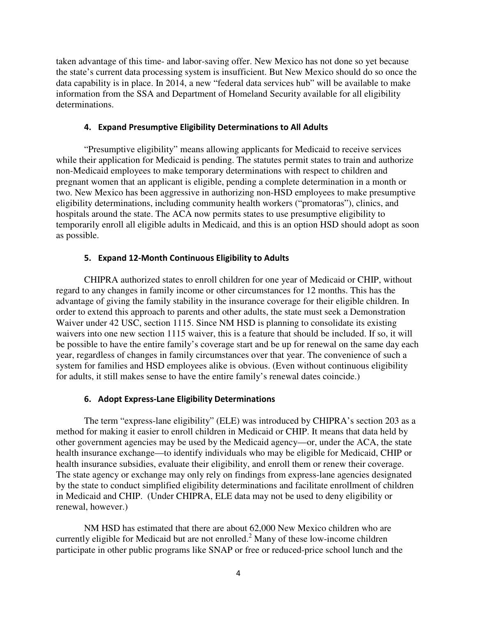taken advantage of this time- and labor-saving offer. New Mexico has not done so yet because the state's current data processing system is insufficient. But New Mexico should do so once the data capability is in place. In 2014, a new "federal data services hub" will be available to make information from the SSA and Department of Homeland Security available for all eligibility determinations.

#### 4. Expand Presumptive Eligibility Determinations to All Adults

"Presumptive eligibility" means allowing applicants for Medicaid to receive services while their application for Medicaid is pending. The statutes permit states to train and authorize non-Medicaid employees to make temporary determinations with respect to children and pregnant women that an applicant is eligible, pending a complete determination in a month or two. New Mexico has been aggressive in authorizing non-HSD employees to make presumptive eligibility determinations, including community health workers ("promatoras"), clinics, and hospitals around the state. The ACA now permits states to use presumptive eligibility to temporarily enroll all eligible adults in Medicaid, and this is an option HSD should adopt as soon as possible.

### 5. Expand 12-Month Continuous Eligibility to Adults

CHIPRA authorized states to enroll children for one year of Medicaid or CHIP, without regard to any changes in family income or other circumstances for 12 months. This has the advantage of giving the family stability in the insurance coverage for their eligible children. In order to extend this approach to parents and other adults, the state must seek a Demonstration Waiver under 42 USC, section 1115. Since NM HSD is planning to consolidate its existing waivers into one new section 1115 waiver, this is a feature that should be included. If so, it will be possible to have the entire family's coverage start and be up for renewal on the same day each year, regardless of changes in family circumstances over that year. The convenience of such a system for families and HSD employees alike is obvious. (Even without continuous eligibility for adults, it still makes sense to have the entire family's renewal dates coincide.)

### 6. Adopt Express-Lane Eligibility Determinations

 The term "express-lane eligibility" (ELE) was introduced by CHIPRA's section 203 as a method for making it easier to enroll children in Medicaid or CHIP. It means that data held by other government agencies may be used by the Medicaid agency—or, under the ACA, the state health insurance exchange—to identify individuals who may be eligible for Medicaid, CHIP or health insurance subsidies, evaluate their eligibility, and enroll them or renew their coverage. The state agency or exchange may only rely on findings from express-lane agencies designated by the state to conduct simplified eligibility determinations and facilitate enrollment of children in Medicaid and CHIP. (Under CHIPRA, ELE data may not be used to deny eligibility or renewal, however.)

NM HSD has estimated that there are about 62,000 New Mexico children who are currently eligible for Medicaid but are not enrolled. $2$  Many of these low-income children participate in other public programs like SNAP or free or reduced-price school lunch and the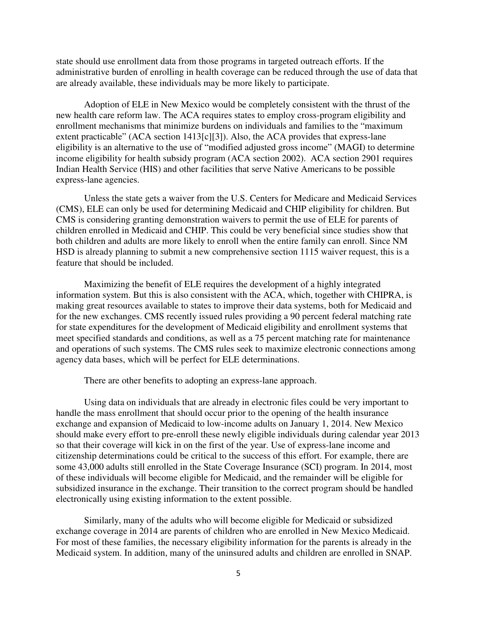state should use enrollment data from those programs in targeted outreach efforts. If the administrative burden of enrolling in health coverage can be reduced through the use of data that are already available, these individuals may be more likely to participate.

Adoption of ELE in New Mexico would be completely consistent with the thrust of the new health care reform law. The ACA requires states to employ cross-program eligibility and enrollment mechanisms that minimize burdens on individuals and families to the "maximum extent practicable" (ACA section 1413[c][3]). Also, the ACA provides that express-lane eligibility is an alternative to the use of "modified adjusted gross income" (MAGI) to determine income eligibility for health subsidy program (ACA section 2002). ACA section 2901 requires Indian Health Service (HIS) and other facilities that serve Native Americans to be possible express-lane agencies.

Unless the state gets a waiver from the U.S. Centers for Medicare and Medicaid Services (CMS), ELE can only be used for determining Medicaid and CHIP eligibility for children. But CMS is considering granting demonstration waivers to permit the use of ELE for parents of children enrolled in Medicaid and CHIP. This could be very beneficial since studies show that both children and adults are more likely to enroll when the entire family can enroll. Since NM HSD is already planning to submit a new comprehensive section 1115 waiver request, this is a feature that should be included.

Maximizing the benefit of ELE requires the development of a highly integrated information system. But this is also consistent with the ACA, which, together with CHIPRA, is making great resources available to states to improve their data systems, both for Medicaid and for the new exchanges. CMS recently issued rules providing a 90 percent federal matching rate for state expenditures for the development of Medicaid eligibility and enrollment systems that meet specified standards and conditions, as well as a 75 percent matching rate for maintenance and operations of such systems. The CMS rules seek to maximize electronic connections among agency data bases, which will be perfect for ELE determinations.

There are other benefits to adopting an express-lane approach.

Using data on individuals that are already in electronic files could be very important to handle the mass enrollment that should occur prior to the opening of the health insurance exchange and expansion of Medicaid to low-income adults on January 1, 2014. New Mexico should make every effort to pre-enroll these newly eligible individuals during calendar year 2013 so that their coverage will kick in on the first of the year. Use of express-lane income and citizenship determinations could be critical to the success of this effort. For example, there are some 43,000 adults still enrolled in the State Coverage Insurance (SCI) program. In 2014, most of these individuals will become eligible for Medicaid, and the remainder will be eligible for subsidized insurance in the exchange. Their transition to the correct program should be handled electronically using existing information to the extent possible.

Similarly, many of the adults who will become eligible for Medicaid or subsidized exchange coverage in 2014 are parents of children who are enrolled in New Mexico Medicaid. For most of these families, the necessary eligibility information for the parents is already in the Medicaid system. In addition, many of the uninsured adults and children are enrolled in SNAP.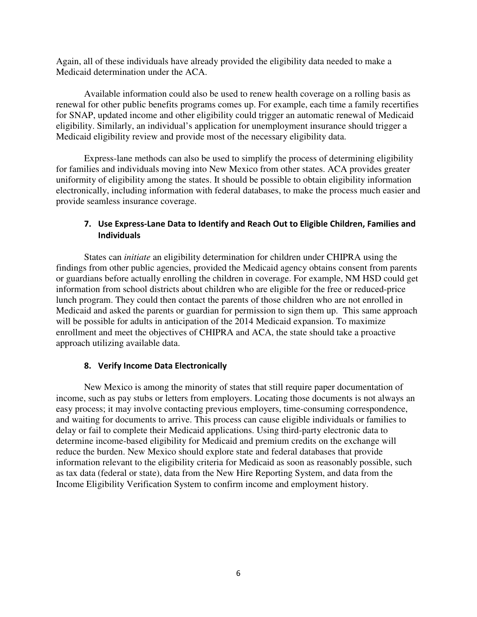Again, all of these individuals have already provided the eligibility data needed to make a Medicaid determination under the ACA.

Available information could also be used to renew health coverage on a rolling basis as renewal for other public benefits programs comes up. For example, each time a family recertifies for SNAP, updated income and other eligibility could trigger an automatic renewal of Medicaid eligibility. Similarly, an individual's application for unemployment insurance should trigger a Medicaid eligibility review and provide most of the necessary eligibility data.

Express-lane methods can also be used to simplify the process of determining eligibility for families and individuals moving into New Mexico from other states. ACA provides greater uniformity of eligibility among the states. It should be possible to obtain eligibility information electronically, including information with federal databases, to make the process much easier and provide seamless insurance coverage.

# 7. Use Express-Lane Data to Identify and Reach Out to Eligible Children, Families and **Individuals**

States can *initiate* an eligibility determination for children under CHIPRA using the findings from other public agencies, provided the Medicaid agency obtains consent from parents or guardians before actually enrolling the children in coverage. For example, NM HSD could get information from school districts about children who are eligible for the free or reduced-price lunch program. They could then contact the parents of those children who are not enrolled in Medicaid and asked the parents or guardian for permission to sign them up. This same approach will be possible for adults in anticipation of the 2014 Medicaid expansion. To maximize enrollment and meet the objectives of CHIPRA and ACA, the state should take a proactive approach utilizing available data.

### 8. Verify Income Data Electronically

New Mexico is among the minority of states that still require paper documentation of income, such as pay stubs or letters from employers. Locating those documents is not always an easy process; it may involve contacting previous employers, time-consuming correspondence, and waiting for documents to arrive. This process can cause eligible individuals or families to delay or fail to complete their Medicaid applications. Using third-party electronic data to determine income-based eligibility for Medicaid and premium credits on the exchange will reduce the burden. New Mexico should explore state and federal databases that provide information relevant to the eligibility criteria for Medicaid as soon as reasonably possible, such as tax data (federal or state), data from the New Hire Reporting System, and data from the Income Eligibility Verification System to confirm income and employment history.